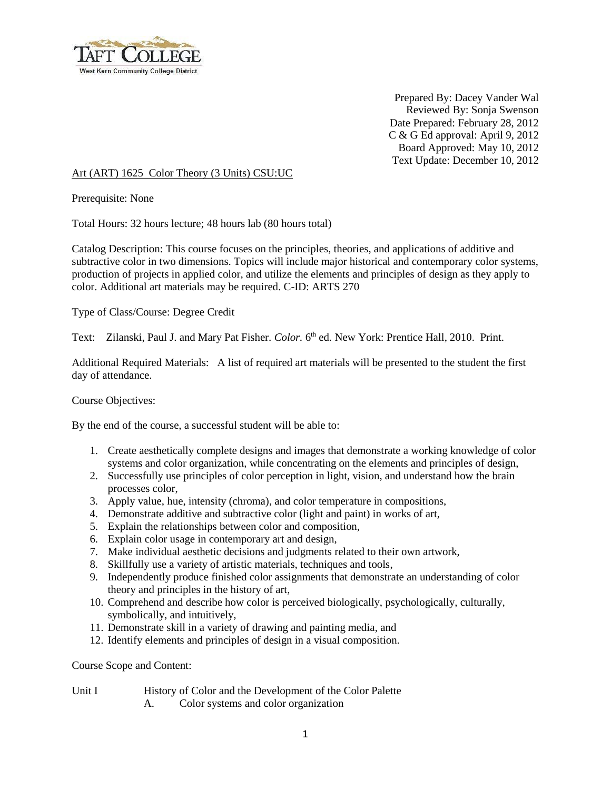

Prepared By: Dacey Vander Wal Reviewed By: Sonja Swenson Date Prepared: February 28, 2012 C & G Ed approval: April 9, 2012 Board Approved: May 10, 2012 Text Update: December 10, 2012

## Art (ART) 1625 Color Theory (3 Units) CSU:UC

Prerequisite: None

Total Hours: 32 hours lecture; 48 hours lab (80 hours total)

Catalog Description: This course focuses on the principles, theories, and applications of additive and subtractive color in two dimensions. Topics will include major historical and contemporary color systems, production of projects in applied color, and utilize the elements and principles of design as they apply to color. Additional art materials may be required. C-ID: ARTS 270

Type of Class/Course: Degree Credit

Text: Zilanski, Paul J. and Mary Pat Fisher. *Color.* 6 th ed*.* New York: Prentice Hall, 2010. Print.

Additional Required Materials: A list of required art materials will be presented to the student the first day of attendance.

Course Objectives:

By the end of the course, a successful student will be able to:

- 1. Create aesthetically complete designs and images that demonstrate a working knowledge of color systems and color organization, while concentrating on the elements and principles of design,
- 2. Successfully use principles of color perception in light, vision, and understand how the brain processes color,
- 3. Apply value, hue, intensity (chroma), and color temperature in compositions,
- 4. Demonstrate additive and subtractive color (light and paint) in works of art,
- 5. Explain the relationships between color and composition,
- 6. Explain color usage in contemporary art and design,
- 7. Make individual aesthetic decisions and judgments related to their own artwork,
- 8. Skillfully use a variety of artistic materials, techniques and tools,
- 9. Independently produce finished color assignments that demonstrate an understanding of color theory and principles in the history of art,
- 10. Comprehend and describe how color is perceived biologically, psychologically, culturally, symbolically, and intuitively,
- 11. Demonstrate skill in a variety of drawing and painting media, and
- 12. Identify elements and principles of design in a visual composition.

Course Scope and Content:

Unit I History of Color and the Development of the Color Palette A. Color systems and color organization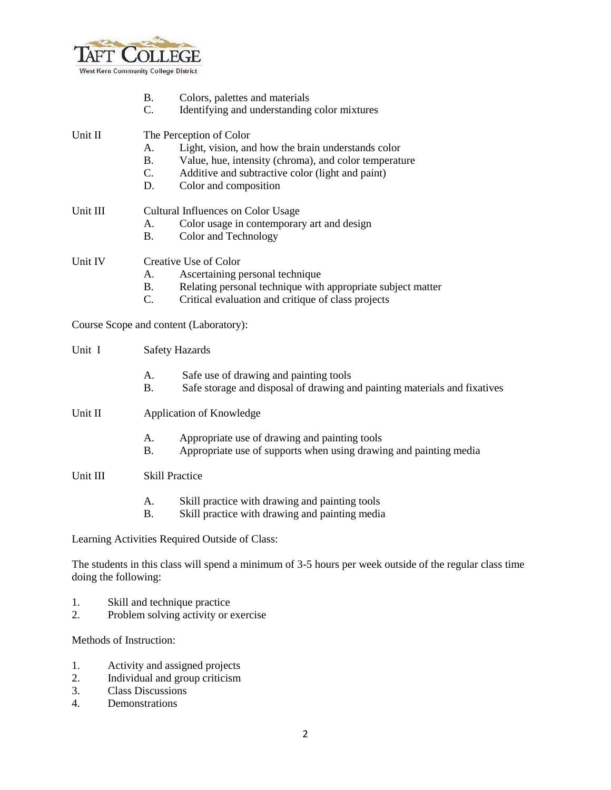

|                                        | Colors, palettes and materials<br><b>B.</b><br>$\mathbf{C}$ .<br>Identifying and understanding color mixtures                                                                                                                                      |
|----------------------------------------|----------------------------------------------------------------------------------------------------------------------------------------------------------------------------------------------------------------------------------------------------|
| Unit II                                | The Perception of Color<br>Light, vision, and how the brain understands color<br>A.<br>Value, hue, intensity (chroma), and color temperature<br><b>B.</b><br>Additive and subtractive color (light and paint)<br>C.<br>Color and composition<br>D. |
| Unit III                               | Cultural Influences on Color Usage<br>Color usage in contemporary art and design<br>Α.<br>Color and Technology<br><b>B.</b>                                                                                                                        |
| Unit IV                                | Creative Use of Color<br>Ascertaining personal technique<br>A.<br>Relating personal technique with appropriate subject matter<br><b>B.</b><br>Critical evaluation and critique of class projects<br>$C_{\cdot}$                                    |
| Course Scope and content (Laboratory): |                                                                                                                                                                                                                                                    |
| Unit I                                 | <b>Safety Hazards</b>                                                                                                                                                                                                                              |
|                                        | Safe use of drawing and painting tools<br>A.<br>Safe storage and disposal of drawing and painting materials and fixatives<br><b>B.</b>                                                                                                             |
| Unit II                                | Application of Knowledge                                                                                                                                                                                                                           |

- A. Appropriate use of drawing and painting tools
- B. Appropriate use of supports when using drawing and painting media

Unit III Skill Practice

- A. Skill practice with drawing and painting tools
- B. Skill practice with drawing and painting media

Learning Activities Required Outside of Class:

The students in this class will spend a minimum of 3-5 hours per week outside of the regular class time doing the following:

- 1. Skill and technique practice
- 2. Problem solving activity or exercise

Methods of Instruction:

- 1. Activity and assigned projects
- 2. Individual and group criticism
- 3. Class Discussions
- 4. Demonstrations